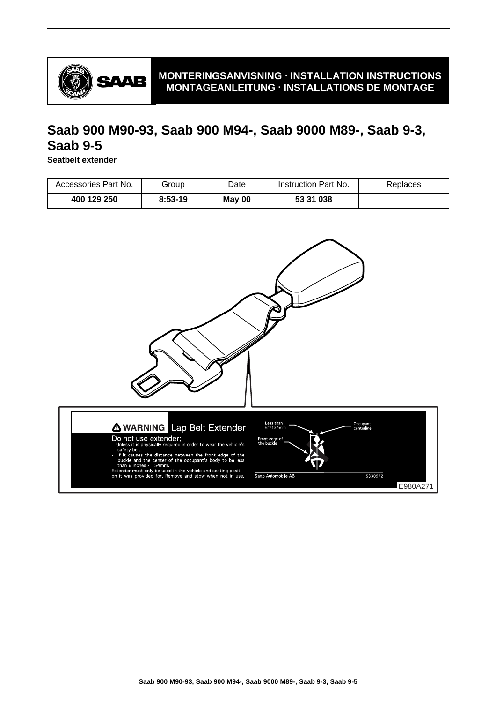

# **Saab 900 M90-93, Saab 900 M94-, Saab 9000 M89-, Saab 9-3, Saab 9-5**

**Seatbelt extender**

| Accessories Part No. | Group     | Date   | Instruction Part No. | Replaces |
|----------------------|-----------|--------|----------------------|----------|
| 400 129 250          | $8:53-19$ | May 00 | 53 31 038            |          |

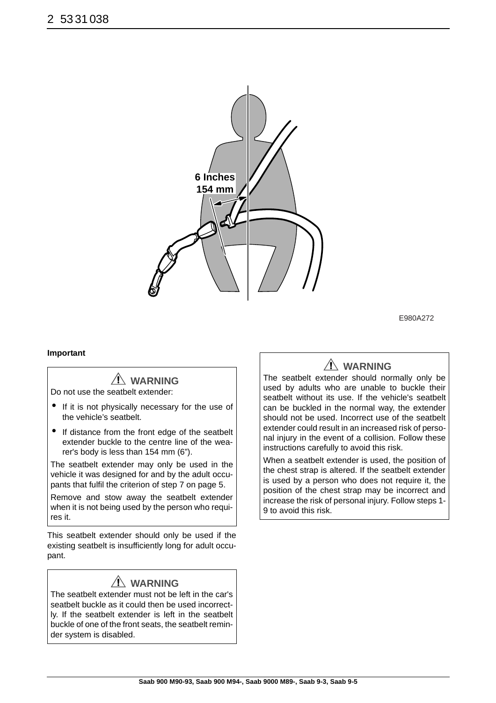

E980A272

#### **Important**

## **WARNING**

Do not use the seatbelt extender:

- If it is not physically necessary for the use of the vehicle's seatbelt.
- If distance from the front edge of the seatbelt extender buckle to the centre line of the wearer's body is less than 154 mm (6").

The seatbelt extender may only be used in the vehicle it was designed for and by the adult occupants that fulfil the criterion of step 7 on page 5.

Remove and stow away the seatbelt extender when it is not being used by the person who requires it.

This seatbelt extender should only be used if the existing seatbelt is insufficiently long for adult occupant.

### **WARNING**

The seatbelt extender must not be left in the car's seatbelt buckle as it could then be used incorrectly. If the seatbelt extender is left in the seatbelt buckle of one of the front seats, the seatbelt reminder system is disabled.

## **WARNING**

The seatbelt extender should normally only be used by adults who are unable to buckle their seatbelt without its use. If the vehicle's seatbelt can be buckled in the normal way, the extender should not be used. Incorrect use of the seatbelt extender could result in an increased risk of personal injury in the event of a collision. Follow these instructions carefully to avoid this risk.

When a seatbelt extender is used, the position of the chest strap is altered. If the seatbelt extender is used by a person who does not require it, the position of the chest strap may be incorrect and increase the risk of personal injury. Follow steps 1- 9 to avoid this risk.